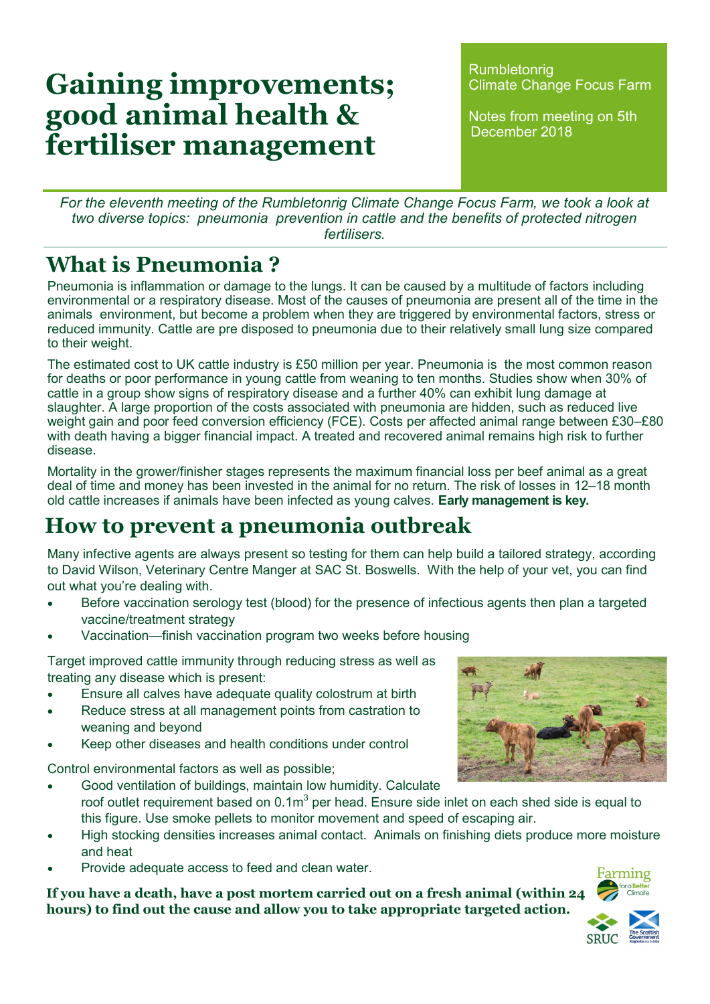# **Gaining improvements; good animal health & fertiliser management**

**Rumbletonrig** Climate Change Focus Farm

Notes from meeting on 5th December 2018

*For the eleventh meeting of the Rumbletonrig Climate Change Focus Farm, we took a look at two diverse topics: pneumonia prevention in cattle and the benefits of protected nitrogen fertilisers.*

#### **What is Pneumonia ?**

Pneumonia is inflammation or damage to the lungs. It can be caused by a multitude of factors including environmental or a respiratory disease. Most of the causes of pneumonia are present all of the time in the animals environment, but become a problem when they are triggered by environmental factors, stress or reduced immunity. Cattle are pre disposed to pneumonia due to their relatively small lung size compared to their weight.

The estimated cost to UK cattle industry is £50 million per year. Pneumonia is the most common reason for deaths or poor performance in young cattle from weaning to ten months. Studies show when 30% of cattle in a group show signs of respiratory disease and a further 40% can exhibit lung damage at slaughter. A large proportion of the costs associated with pneumonia are hidden, such as reduced live weight gain and poor feed conversion efficiency (FCE). Costs per affected animal range between £30–£80 with death having a bigger financial impact. A treated and recovered animal remains high risk to further disease.

Mortality in the grower/finisher stages represents the maximum financial loss per beef animal as a great deal of time and money has been invested in the animal for no return. The risk of losses in 12–18 month old cattle increases if animals have been infected as young calves. **Early management is key.**

#### **How to prevent a pneumonia outbreak**

Many infective agents are always present so testing for them can help build a tailored strategy, according to David Wilson, Veterinary Centre Manger at SAC St. Boswells. With the help of your vet, you can find out what you're dealing with.

- Before vaccination serology test (blood) for the presence of infectious agents then plan a targeted vaccine/treatment strategy
- Vaccination—finish vaccination program two weeks before housing

Target improved cattle immunity through reducing stress as well as treating any disease which is present:

- Ensure all calves have adequate quality colostrum at birth
- Reduce stress at all management points from castration to weaning and beyond
- Keep other diseases and health conditions under control

Control environmental factors as well as possible;

- Good ventilation of buildings, maintain low humidity. Calculate roof outlet requirement based on 0.1m $^3$  per head. Ensure side inlet on each shed side is equal to this figure. Use smoke pellets to monitor movement and speed of escaping air.
- High stocking densities increases animal contact. Animals on finishing diets produce more moisture and heat
- Provide adequate access to feed and clean water.

**If you have a death, have a post mortem carried out on a fresh animal (within 24 hours) to find out the cause and allow you to take appropriate targeted action.**